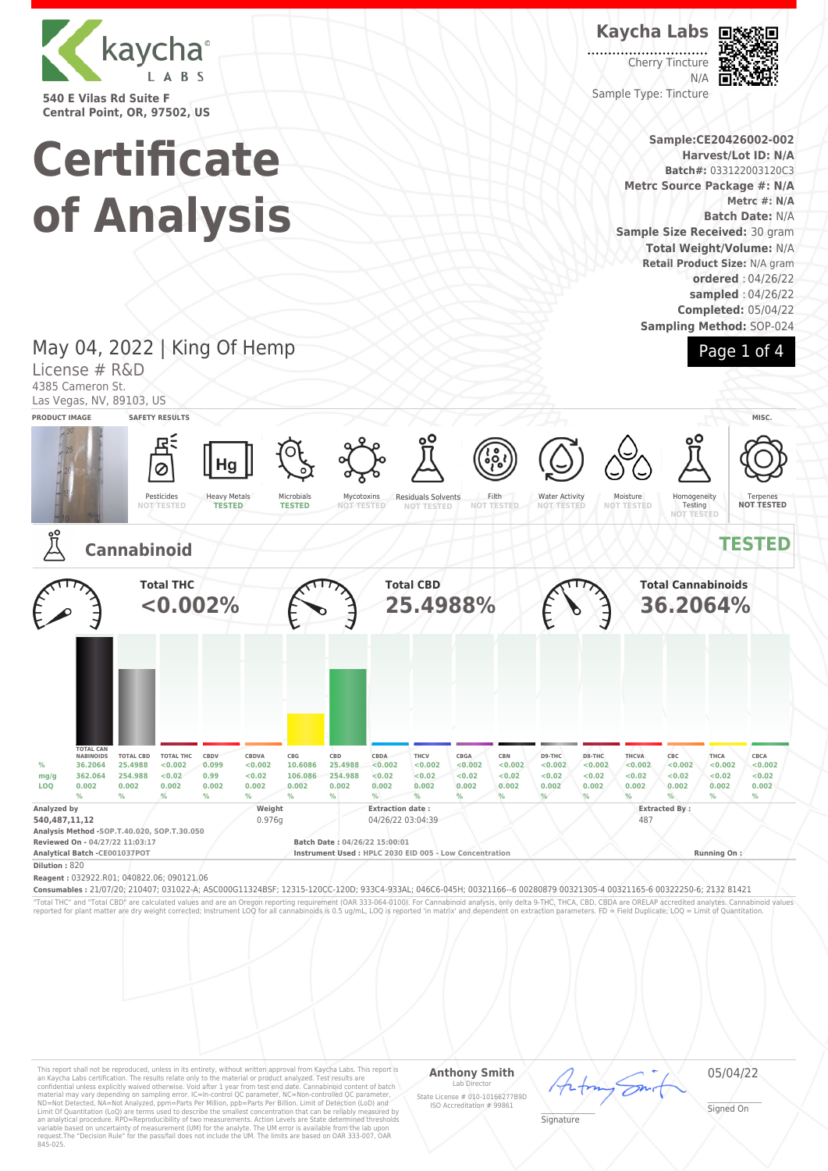

**540 E Vilas Rd Suite F Central Point, OR, 97502, US**

# **Certificate of Analysis**

### **Kaycha Labs**

Cherry Tincture N/A Sample Type: Tincture



**Sample:CE20426002-002 Harvest/Lot ID: N/A Batch#:** 033122003120C3 **Metrc Source Package #: N/A Metrc #: N/A Batch Date:** N/A **Sample Size Received:** 30 gram **Total Weight/Volume:** N/A **Retail Product Size:** N/A gram **ordered** : 04/26/22 **sampled** : 04/26/22 **Completed:** 05/04/22

**Sampling Method:** SOP-024



### May 04, 2022 | King Of Hemp

License # R&D 4385 Cameron St.

Las Vegas, NV, 89103, US



"Total THC" and "Total CBD" are calculated values and are an Oregon reporting requirement (OAR 333-064-0100). For Cannabinoid analysis, only delta 9-THC, THCA, CBD, CBDA are ORELAP accredited analytes. Cannabinoid values<br>r

This report shall not be reproduced, unless in its entirety, without written approval from Kaycha Labs. This report is<br>an Kaycha Labs certification. The results relate only to the material or product analyzed. Test result

#### **Anthony Smith** Lab Director

05/04/22

\_\_\_\_\_\_\_\_\_\_\_\_\_\_\_\_\_\_\_ Signed On

State License # 010-10166277B9D ISO Accreditation # 99861 \_\_\_\_\_\_\_\_\_\_\_\_\_\_\_\_\_\_\_ Signature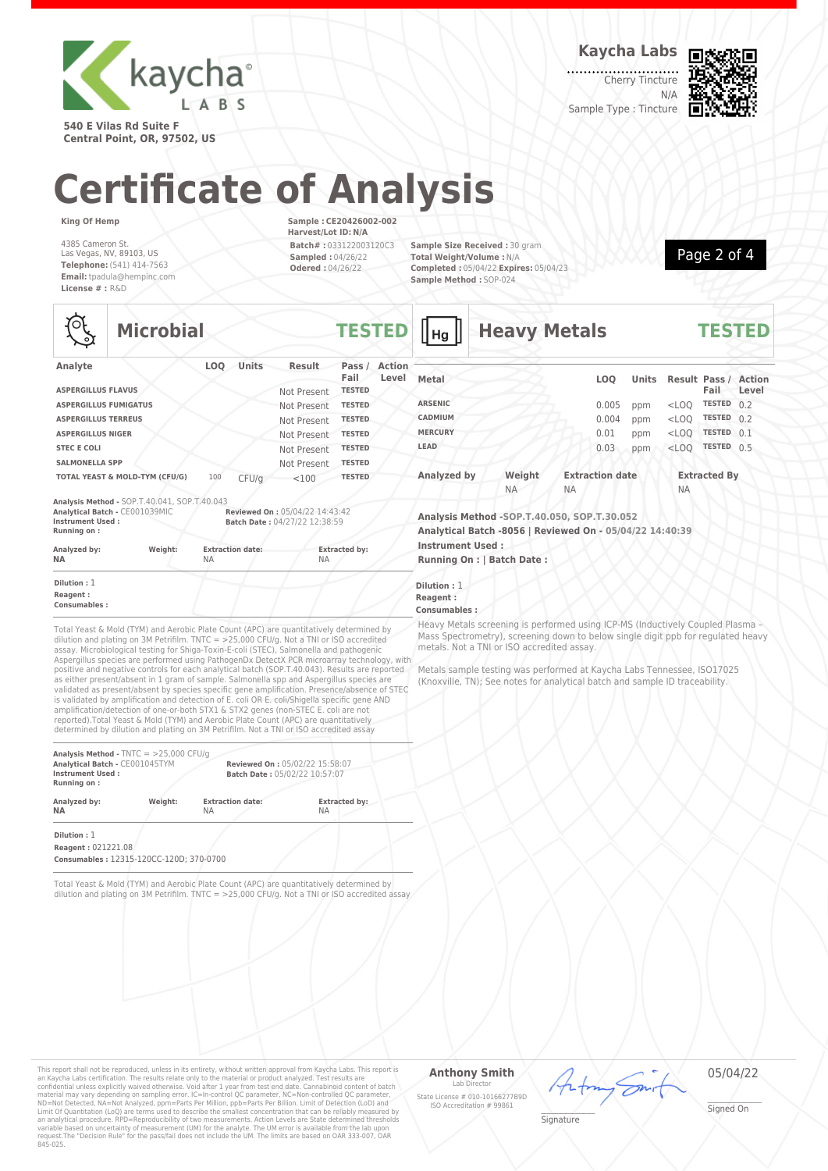

**540 E Vilas Rd Suite F Central Point, OR, 97502, US** **Kaycha Labs**

Cherry Tincture N/A



Sample Type : Tincture

## **Certificate of Analysis**

**Microbial TESTED**

**King Of Hemp**

१०६

4385 Cameron St. Las Vegas, NV, 89103, US **Telephone:** (541) 414-7563 **Email:** tpadula@hempinc.com **License # :** R&D

**Sample : CE20426002-002 Harvest/Lot ID: N/A Batch# :** 033122003120C3 **Sampled :** 04/26/22 **Odered :** 04/26/22

**Sample Size Received :** 30 gram **Total Weight/Volume :** N/A **Completed :** 05/04/22 **Expires:** 05/04/23 **Sample Method :** SOP-024



| づ                               | PHULVMIUI                                    |           |                         |                                                                 | .                    |                        |
|---------------------------------|----------------------------------------------|-----------|-------------------------|-----------------------------------------------------------------|----------------------|------------------------|
| Analyte                         |                                              | LOO       | <b>Units</b>            | <b>Result</b>                                                   | Pass $/$<br>Fail     | <b>Action</b><br>Level |
| <b>ASPERGILLUS FLAVUS</b>       |                                              |           |                         | Not Present                                                     | <b>TESTED</b>        |                        |
| <b>ASPERGILLUS FUMIGATUS</b>    |                                              |           |                         | Not Present                                                     | <b>TESTED</b>        |                        |
| <b>ASPERGILLUS TERREUS</b>      |                                              |           |                         | Not Present                                                     | <b>TESTED</b>        |                        |
| <b>ASPERGILLUS NIGER</b>        |                                              |           |                         | Not Present                                                     | <b>TESTED</b>        |                        |
| <b>STEC E COLI</b>              |                                              |           |                         | Not Present                                                     | <b>TESTED</b>        |                        |
| <b>SALMONELLA SPP</b>           |                                              |           |                         | Not Present                                                     | <b>TESTED</b>        |                        |
|                                 | TOTAL YEAST & MOLD-TYM (CFU/G)               | 100       | CFU/q                   | < 100                                                           | <b>TESTED</b>        |                        |
|                                 | Analysis Method - SOP.T.40.041, SOP.T.40.043 |           |                         |                                                                 |                      |                        |
| Instrument Used:<br>Running on: | Analytical Batch - CE001039MIC               |           |                         | Reviewed On: 05/04/22 14:43:42<br>Batch Date: 04/27/22 12:38:59 |                      |                        |
| Analyzed by:<br>NΑ              | Weight:                                      | <b>NA</b> | <b>Extraction date:</b> | <b>NA</b>                                                       | <b>Extracted by:</b> |                        |
| Dilution: 1                     |                                              |           |                         |                                                                 |                      |                        |
| Reagent:                        |                                              |           |                         |                                                                 |                      |                        |

**Consumables :**

Total Yeast & Mold (TYM) and Aerobic Plate Count (APC) are quantitatively determined by dilution and plating on 3M Petrifilm. TNTC = >25,000 CFU/g. Not a TNI or ISO accredited assay. Microbiological testing for Shiga-Toxin-E-coli (STEC), Salmonella and pathogenic Aspergillus species are performed using PathogenDx DetectX PCR microarray technology, with positive and negative controls for each analytical batch (SOP.T.40.043). Results are reported as either present/absent in 1 gram of sample. Salmonella spp and Aspergillus species are validated as present/absent by species specific gene amplification. Presence/absence of STEC is validated by amplification and detection of E. coli OR E. coli/Shigella specific gene AND amplification/detection of one-or-both STX1 & STX2 genes (non-STEC E. coli are not reported).Total Yeast & Mold (TYM) and Aerobic Plate Count (APC) are quantitatively determined by dilution and plating on 3M Petrifilm. Not a TNI or ISO accredited assay

| Analysis Method - $TNTC = 25,000 CFU/q$<br>Analytical Batch - CE001045TYM<br><b>Instrument Used:</b><br>Running on: |         | Reviewed On: 05/02/22 15:58:07<br>Batch Date: 05/02/22 10:57:07 |                      |  |
|---------------------------------------------------------------------------------------------------------------------|---------|-----------------------------------------------------------------|----------------------|--|
| Analyzed by:                                                                                                        | Weight: | <b>Extraction date:</b>                                         | <b>Extracted by:</b> |  |
| <b>NA</b>                                                                                                           |         | <b>NA</b>                                                       | <b>NA</b>            |  |

**Dilution :** 1 **Reagent :** 021221.08

**Consumables :** 12315-120CC-120D; 370-0700

Total Yeast & Mold (TYM) and Aerobic Plate Count (APC) are quantitatively determined by dilution and plating on 3M Petrifilm. TNTC = >25,000 CFU/g. Not a TNI or ISO accredited assay

| <b>u - u</b>   |           |           |                        |              |           |                                     |       |
|----------------|-----------|-----------|------------------------|--------------|-----------|-------------------------------------|-------|
| Metal          |           |           | <b>LOO</b>             | <b>Units</b> |           | <b>Result Pass / Action</b><br>Fail | Level |
| <b>ARSENIC</b> |           |           | 0.005                  | ppm          | $<$ LOQ   | <b>TESTED</b>                       | 0.2   |
| <b>CADMIUM</b> |           |           | 0.004                  | ppm          | $<$ LOQ   | <b>TESTED</b>                       | 0.2   |
| <b>MERCURY</b> |           |           | 0.01                   | ppm          | $<$ LOO   | <b>TESTED</b>                       | 0.1   |
| LEAD           |           |           | 0.03                   | ppm          | $<$ LOO   | <b>TESTED</b>                       | 0.5   |
| Analyzed by    | Weight    |           | <b>Extraction date</b> |              |           | <b>Extracted By</b>                 |       |
|                | <b>NA</b> | <b>NA</b> |                        |              | <b>NA</b> |                                     |       |

**Heavy Metals TESTED**

**Analysis Method -SOP.T.40.050, SOP.T.30.052 Analytical Batch -8056 | Reviewed On - 05/04/22 14:40:39 Instrument Used :**

**Running On : | Batch Date :**

**Dilution :** 1 **Reagent :**

#### **Consumables :**

Heavy Metals screening is performed using ICP-MS (Inductively Coupled Plasma – Mass Spectrometry), screening down to below single digit ppb for regulated heavy metals. Not a TNI or ISO accredited assay.

Metals sample testing was performed at Kaycha Labs Tennessee, ISO17025 (Knoxville, TN); See notes for analytical batch and sample ID traceability.

This report shall not be reproduced, unless in its entirety, without written approval from Kaycha Labs. This report is<br>an Kaycha Labs certification. The results relate only to the material or product analyzed. Test result

#### **Anthony Smith**  $Lah$

State License # 010-10166277B9D ISO Accreditation # 99861



\_\_\_\_\_\_\_\_\_\_\_\_\_\_\_\_\_\_\_ Signature

\_\_\_\_\_\_\_\_\_\_\_\_\_\_\_\_\_\_\_ Signed On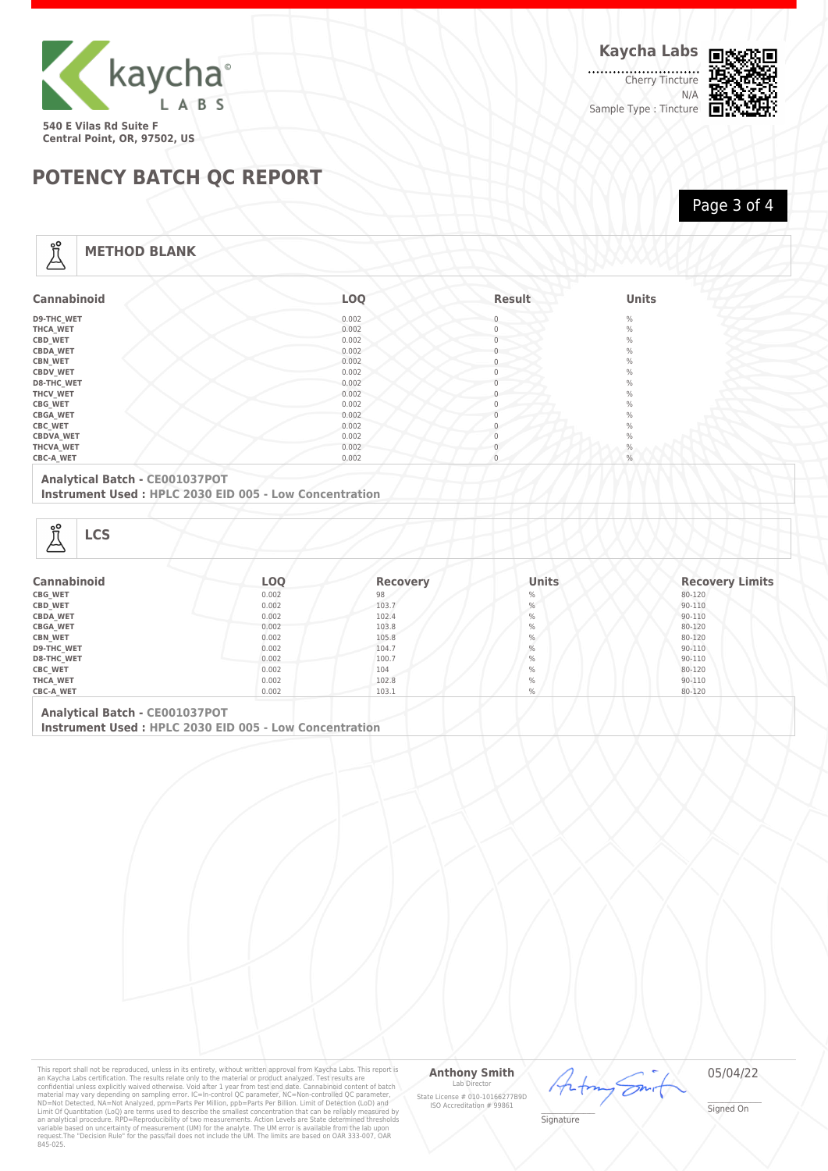

. . . . . . . . . . . . . . . . . . Cherry Tincture N/A Sample Type : Tincture



Page 3 of 4

## **POTENCY BATCH QC REPORT**

**METHOD BLANK**

| <b>Cannabinoid</b> | <b>LOO</b> | <b>Result</b> | <b>Units</b> |
|--------------------|------------|---------------|--------------|
| <b>D9-THC WET</b>  | 0.002      | $\Omega$      | $\%$         |
| <b>THCA WET</b>    | 0.002      | $\mathbf{0}$  | $\%$         |
| CBD_WET            | 0.002      | $\Omega$      | $\%$         |
| <b>CBDA WET</b>    | 0.002      |               | $\%$         |
| <b>CBN_WET</b>     | 0.002      | $\mathbf{0}$  | $\%$         |
| <b>CBDV WET</b>    | 0.002      | $\Omega$      | $\%$         |
| <b>D8-THC WET</b>  | 0.002      |               | $\%$         |
| THCV_WET           | 0.002      | 0             | $\%$         |
| <b>CBG_WET</b>     | 0.002      | $\mathbf{0}$  | $\%$         |
| <b>CBGA_WET</b>    | 0.002      |               | $\%$         |
| <b>CBC WET</b>     | 0.002      |               | $\%$         |
| <b>CBDVA_WET</b>   | 0.002      |               | $\%$         |
| THCVA_WET          | 0.002      |               | $\%$         |
| <b>CBC-A WET</b>   | 0.002      | $\Omega$      | $\%$         |

#### **Analytical Batch - CE001037POT**

**Instrument Used : HPLC 2030 EID 005 - Low Concentration**

| 17 |  |
|----|--|
|----|--|

Å

| <b>Cannabinoid</b> | <b>LOQ</b> | <b>Recovery</b> | <b>Units</b>  | <b>Recovery Limits</b> |
|--------------------|------------|-----------------|---------------|------------------------|
| <b>CBG WET</b>     | 0.002      | 98              | $\%$          | 80-120                 |
| CBD_WET            | 0.002      | 103.7           | $\frac{0}{0}$ | 90-110                 |
| <b>CBDA WET</b>    | 0.002      | 102.4           | $\%$          | 90-110                 |
| <b>CBGA_WET</b>    | 0.002      | 103.8           | $\%$          | 80-120                 |
| <b>CBN_WET</b>     | 0.002      | 105.8           | $\%$          | 80-120                 |
| <b>D9-THC WET</b>  | 0.002      | 104.7           | $\frac{0}{0}$ | 90-110                 |
| <b>D8-THC WET</b>  | 0.002      | 100.7           | $\frac{0}{0}$ | 90-110                 |
| <b>CBC_WET</b>     | 0.002      | 104             | $\frac{0}{0}$ | 80-120                 |
| THCA_WET           | 0.002      | 102.8           | $\%$          | 90-110                 |
| <b>CBC-A WET</b>   | 0.002      | 103.1           | %             | 80-120                 |

**Analytical Batch - CE001037POT Instrument Used : HPLC 2030 EID 005 - Low Concentration**

This report shall not be reproduced, unless in its entirety, without written approval from Kaycha Labs. This report is<br>an Kaycha Labs certification. The results relate only to the material or product analyzed. Test result

#### **Anthony Smith** Lab D

State License # 010-10166277B9D ISO Accreditation # 99861

05/04/22

Ön

\_\_\_\_\_\_\_\_\_\_\_\_\_\_\_\_\_\_\_ Signature

<sup>L</sup>

\_\_\_\_\_\_\_\_\_\_\_\_\_\_\_\_\_\_\_ Signed On